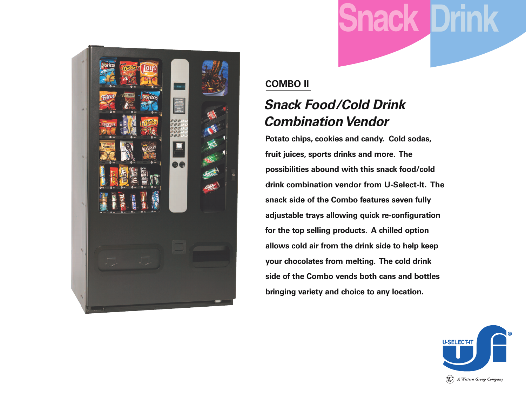



#### **COMBO II**

### *Snack Food/Cold Drink Combination Vendor*

**Potato chips, cookies and candy. Cold sodas, fruit juices, sports drinks and more. The possibilities abound with this snack food/cold drink combination vendor from U-Select-It. The snack side of the Combo features seven fully adjustable trays allowing quick re-configuration for the top selling products. A chilled option allows cold air from the drink side to help keep your chocolates from melting. The cold drink side of the Combo vends both cans and bottles bringing variety and choice to any location.**